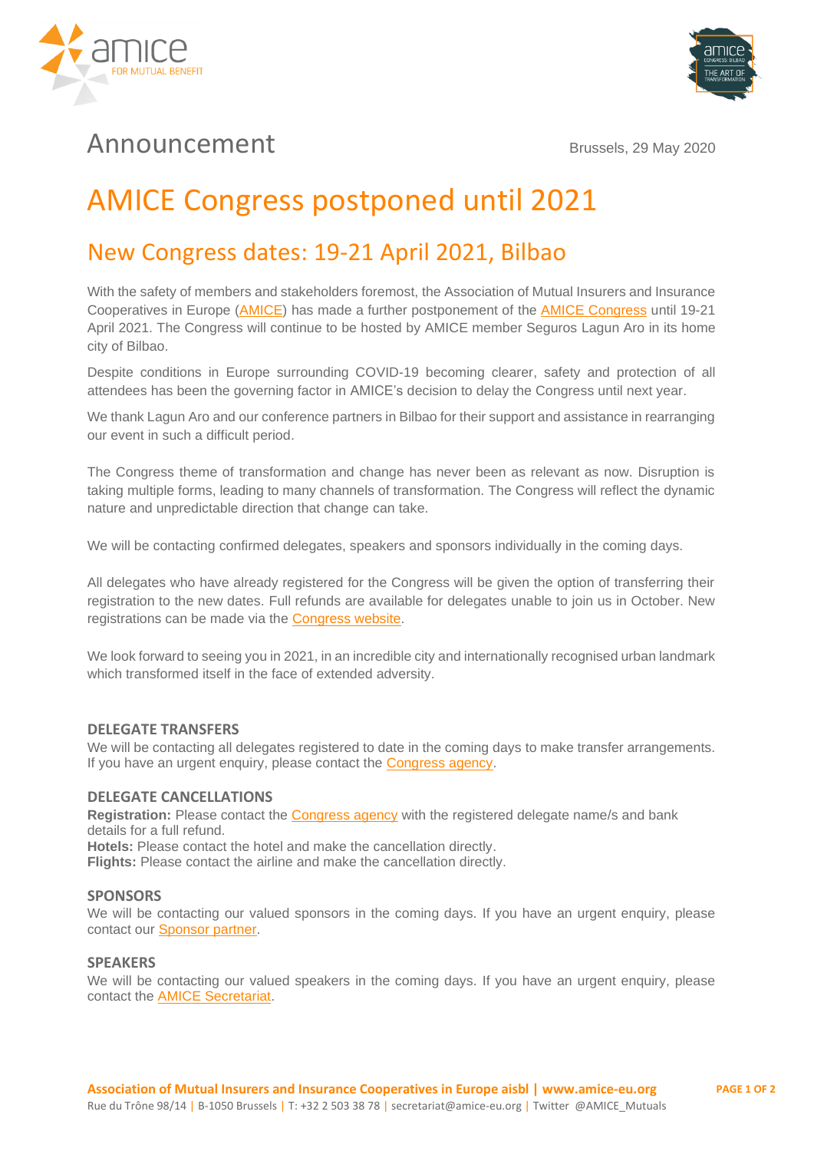



## Announcement Brussels, 29 May 2020

# AMICE Congress postponed until 2021

### New Congress dates: 19-21 April 2021, Bilbao

With the safety of members and stakeholders foremost, the Association of Mutual Insurers and Insurance Cooperatives in Europe [\(AMICE\)](https://www.amice-eu.org/) has made a further postponement of the [AMICE Congress](http://www.amicecongress.eu/) until 19-21 April 2021. The Congress will continue to be hosted by AMICE member Seguros Lagun Aro in its home city of Bilbao.

Despite conditions in Europe surrounding COVID-19 becoming clearer, safety and protection of all attendees has been the governing factor in AMICE's decision to delay the Congress until next year.

We thank Lagun Aro and our conference partners in Bilbao for their support and assistance in rearranging our event in such a difficult period.

The Congress theme of transformation and change has never been as relevant as now. Disruption is taking multiple forms, leading to many channels of transformation. The Congress will reflect the dynamic nature and unpredictable direction that change can take.

We will be contacting confirmed delegates, speakers and sponsors individually in the coming days.

All delegates who have already registered for the Congress will be given the option of transferring their registration to the new dates. Full refunds are available for delegates unable to join us in October. New registrations can be made via the [Congress website.](http://www.amicecongress.eu/registration/)

We look forward to seeing you in 2021, in an incredible city and internationally recognised urban landmark which transformed itself in the face of extended adversity.

#### **DELEGATE TRANSFERS**

We will be contacting all delegates registered to date in the coming days to make transfer arrangements. If you have an urgent enquiry, please contact the [Congress agency.](mailto:congress2020@amicecongress.eu)

#### **DELEGATE CANCELLATIONS**

Registration: Please contact the **Congress agency** with the registered delegate name/s and bank details for a full refund. **Hotels:** Please contact the hotel and make the cancellation directly. **Flights:** Please contact the airline and make the cancellation directly.

#### **SPONSORS**

We will be contacting our valued sponsors in the coming days. If you have an urgent enquiry, please contact our [Sponsor partner.](mailto:hfoster@commercialriskonline.com)

#### **SPEAKERS**

We will be contacting our valued speakers in the coming days. If you have an urgent enguiry, please contact the [AMICE Secretariat.](mailto:secretariat@amice-eu.org)